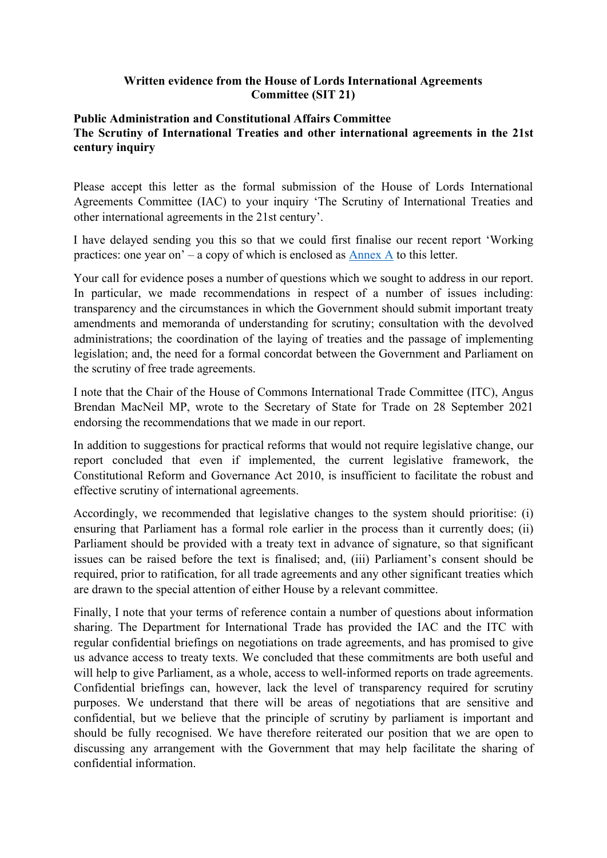## **Written evidence from the House of Lords International Agreements Committee (SIT 21)**

## **Public Administration and Constitutional Affairs Committee The Scrutiny of International Treaties and other international agreements in the 21st century inquiry**

Please accept this letter as the formal submission of the House of Lords International Agreements Committee (IAC) to your inquiry 'The Scrutiny of International Treaties and other international agreements in the 21st century'.

I have delayed sending you this so that we could first finalise our recent report 'Working practices: one year on' – a copy of which is enclosed as [Annex](https://committees.parliament.uk/publications/7364/documents/77738/default/) [A](https://committees.parliament.uk/publications/7364/documents/77738/default/) to this letter.

Your call for evidence poses a number of questions which we sought to address in our report. In particular, we made recommendations in respect of a number of issues including: transparency and the circumstances in which the Government should submit important treaty amendments and memoranda of understanding for scrutiny; consultation with the devolved administrations; the coordination of the laying of treaties and the passage of implementing legislation; and, the need for a formal concordat between the Government and Parliament on the scrutiny of free trade agreements.

I note that the Chair of the House of Commons International Trade Committee (ITC), Angus Brendan MacNeil MP, wrote to the Secretary of State for Trade on 28 September 2021 endorsing the recommendations that we made in our report.

In addition to suggestions for practical reforms that would not require legislative change, our report concluded that even if implemented, the current legislative framework, the Constitutional Reform and Governance Act 2010, is insufficient to facilitate the robust and effective scrutiny of international agreements.

Accordingly, we recommended that legislative changes to the system should prioritise: (i) ensuring that Parliament has a formal role earlier in the process than it currently does; (ii) Parliament should be provided with a treaty text in advance of signature, so that significant issues can be raised before the text is finalised; and, (iii) Parliament's consent should be required, prior to ratification, for all trade agreements and any other significant treaties which are drawn to the special attention of either House by a relevant committee.

Finally, I note that your terms of reference contain a number of questions about information sharing. The Department for International Trade has provided the IAC and the ITC with regular confidential briefings on negotiations on trade agreements, and has promised to give us advance access to treaty texts. We concluded that these commitments are both useful and will help to give Parliament, as a whole, access to well-informed reports on trade agreements. Confidential briefings can, however, lack the level of transparency required for scrutiny purposes. We understand that there will be areas of negotiations that are sensitive and confidential, but we believe that the principle of scrutiny by parliament is important and should be fully recognised. We have therefore reiterated our position that we are open to discussing any arrangement with the Government that may help facilitate the sharing of confidential information.